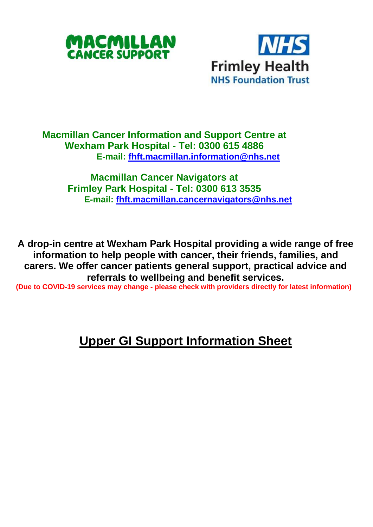



## **Macmillan Cancer Information and Support Centre at Wexham Park Hospital - Tel: 0300 615 4886 E-mail: [fhft.macmillan.information@nhs.net](mailto:fhft.macmillan.information@nhs.net)**

**Macmillan Cancer Navigators at Frimley Park Hospital - Tel: 0300 613 3535 E-mail: [fhft.macmillan.cancernavigators@nhs.net](mailto:fhft.macmillan.cancernavigators@nhs.net)**

**A drop-in centre at Wexham Park Hospital providing a wide range of free information to help people with cancer, their friends, families, and carers. We offer cancer patients general support, practical advice and referrals to wellbeing and benefit services.**

**(Due to COVID-19 services may change - please check with providers directly for latest information)**

## **Upper GI Support Information Sheet**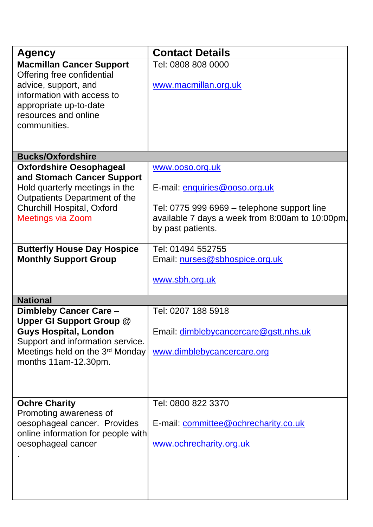| <b>Agency</b>                                                       | <b>Contact Details</b>                          |
|---------------------------------------------------------------------|-------------------------------------------------|
| <b>Macmillan Cancer Support</b>                                     | Tel: 0808 808 0000                              |
| Offering free confidential                                          |                                                 |
| advice, support, and                                                | www.macmillan.org.uk                            |
| information with access to                                          |                                                 |
| appropriate up-to-date<br>resources and online                      |                                                 |
| communities.                                                        |                                                 |
|                                                                     |                                                 |
|                                                                     |                                                 |
| <b>Bucks/Oxfordshire</b>                                            |                                                 |
| <b>Oxfordshire Oesophageal</b>                                      | www.ooso.org.uk                                 |
| and Stomach Cancer Support<br>Hold quarterly meetings in the        | E-mail: enquiries@ooso.org.uk                   |
| Outpatients Department of the                                       |                                                 |
| Churchill Hospital, Oxford                                          | Tel: 0775 999 6969 - telephone support line     |
| <b>Meetings via Zoom</b>                                            | available 7 days a week from 8:00am to 10:00pm, |
|                                                                     | by past patients.                               |
|                                                                     |                                                 |
| <b>Butterfly House Day Hospice</b>                                  | Tel: 01494 552755                               |
| <b>Monthly Support Group</b>                                        | Email: nurses@sbhospice.org.uk                  |
|                                                                     | www.sbh.org.uk                                  |
|                                                                     |                                                 |
| <b>National</b>                                                     |                                                 |
| Dimbleby Cancer Care -                                              | Tel: 0207 188 5918                              |
| Upper GI Support Group @                                            |                                                 |
| <b>Guys Hospital, London</b>                                        | Email: dimblebycancercare@gstt.nhs.uk           |
| Support and information service.<br>Meetings held on the 3rd Monday | www.dimblebycancercare.org                      |
| months 11am-12.30pm.                                                |                                                 |
|                                                                     |                                                 |
|                                                                     |                                                 |
|                                                                     |                                                 |
| <b>Ochre Charity</b>                                                | Tel: 0800 822 3370                              |
| Promoting awareness of                                              |                                                 |
| oesophageal cancer. Provides                                        | E-mail: committee@ochrecharity.co.uk            |
| online information for people with<br>oesophageal cancer            | www.ochrecharity.org.uk                         |
|                                                                     |                                                 |
|                                                                     |                                                 |
|                                                                     |                                                 |
|                                                                     |                                                 |
|                                                                     |                                                 |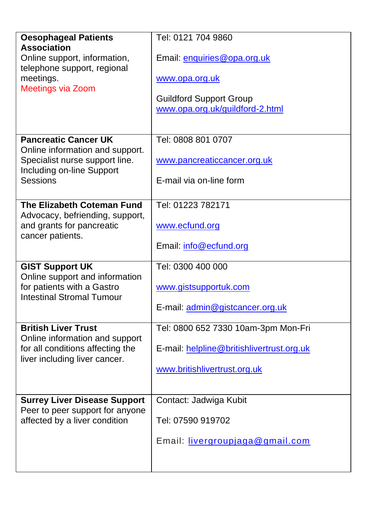| <b>Oesophageal Patients</b><br><b>Association</b><br>Online support, information,<br>telephone support, regional<br>meetings.<br>Meetings via Zoom | Tel: 0121 704 9860<br>Email: enquiries@opa.org.uk<br>www.opa.org.uk<br><b>Guildford Support Group</b><br>www.opa.org.uk/guildford-2.html |
|----------------------------------------------------------------------------------------------------------------------------------------------------|------------------------------------------------------------------------------------------------------------------------------------------|
| <b>Pancreatic Cancer UK</b><br>Online information and support.<br>Specialist nurse support line.<br>Including on-line Support<br><b>Sessions</b>   | Tel: 0808 801 0707<br>www.pancreaticcancer.org.uk<br>E-mail via on-line form                                                             |
| The Elizabeth Coteman Fund<br>Advocacy, befriending, support,<br>and grants for pancreatic<br>cancer patients.                                     | Tel: 01223 782171<br>www.ecfund.org<br>Email: info@ecfund.org                                                                            |
| <b>GIST Support UK</b><br>Online support and information<br>for patients with a Gastro<br><b>Intestinal Stromal Tumour</b>                         | Tel: 0300 400 000<br>www.gistsupportuk.com<br>E-mail: admin@gistcancer.org.uk                                                            |
| <b>British Liver Trust</b><br>Online information and support<br>for all conditions affecting the<br>liver including liver cancer.                  | Tel: 0800 652 7330 10am-3pm Mon-Fri<br>E-mail: helpline@britishlivertrust.org.uk<br>www.britishlivertrust.org.uk                         |
| <b>Surrey Liver Disease Support</b><br>Peer to peer support for anyone<br>affected by a liver condition                                            | Contact: Jadwiga Kubit<br>Tel: 07590 919702<br>Email: livergroupjaga@gmail.com                                                           |